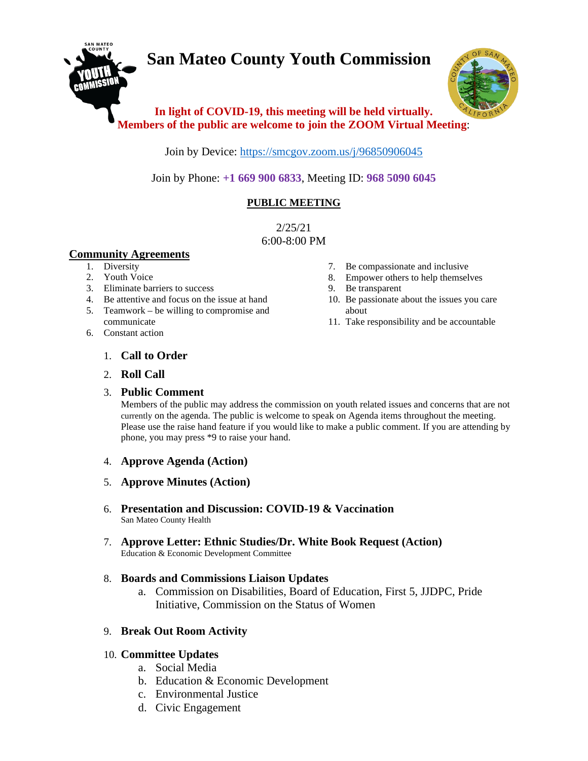# **San Mateo County Youth Commission**



## **In light of COVID-19, this meeting will be held virtually. Members of the public are welcome to join the ZOOM Virtual Meeting**:

Join by Device:<https://smcgov.zoom.us/j/96850906045>

Join by Phone: **+1 669 900 6833**, Meeting ID: **968 5090 6045**

## **PUBLIC MEETING**

2/25/21 6:00-8:00 PM

## **Community Agreements**

- 1. Diversity
- 2. Youth Voice
- 3. Eliminate barriers to success
- 4. Be attentive and focus on the issue at hand
- 5. Teamwork be willing to compromise and communicate
- 6. Constant action
- 7. Be compassionate and inclusive
- 8. Empower others to help themselves
- 9. Be transparent
- 10. Be passionate about the issues you care about
- 11. Take responsibility and be accountable

- 1. **Call to Order**
- 2. **Roll Call**

### 3. **Public Comment**

Members of the public may address the commission on youth related issues and concerns that are not currently on the agenda. The public is welcome to speak on Agenda items throughout the meeting. Please use the raise hand feature if you would like to make a public comment. If you are attending by phone, you may press \*9 to raise your hand.

- 4. **Approve Agenda (Action)**
- 5. **Approve Minutes (Action)**
- 6. **Presentation and Discussion: COVID-19 & Vaccination**  San Mateo County Health
- 7. **Approve Letter: Ethnic Studies/Dr. White Book Request (Action)** Education & Economic Development Committee

## 8. **Boards and Commissions Liaison Updates**

a. Commission on Disabilities, Board of Education, First 5, JJDPC, Pride Initiative, Commission on the Status of Women

## 9. **Break Out Room Activity**

## 10. **Committee Updates**

- a. Social Media
- b. Education & Economic Development
- c. Environmental Justice
- d. Civic Engagement